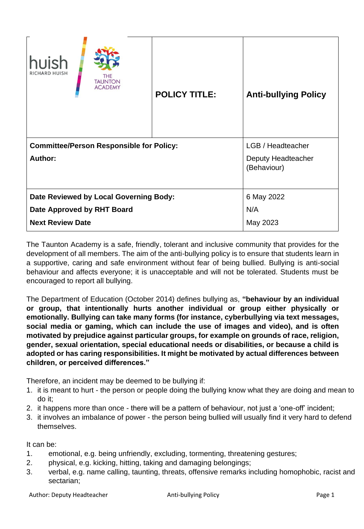| huish<br><b>RICHARD HUISH</b><br>THE<br><b>TAUNTON</b><br><b>ACADEMY</b>                        | <b>POLICY TITLE:</b> | <b>Anti-bullying Policy</b>                            |
|-------------------------------------------------------------------------------------------------|----------------------|--------------------------------------------------------|
| <b>Committee/Person Responsible for Policy:</b><br><b>Author:</b>                               |                      | LGB / Headteacher<br>Deputy Headteacher<br>(Behaviour) |
| Date Reviewed by Local Governing Body:<br>Date Approved by RHT Board<br><b>Next Review Date</b> |                      | 6 May 2022<br>N/A<br>May 2023                          |

The Taunton Academy is a safe, friendly, tolerant and inclusive community that provides for the development of all members. The aim of the anti-bullying policy is to ensure that students learn in a supportive, caring and safe environment without fear of being bullied. Bullying is anti-social behaviour and affects everyone; it is unacceptable and will not be tolerated. Students must be encouraged to report all bullying.

The Department of Education (October 2014) defines bullying as, **"behaviour by an individual or group, that intentionally hurts another individual or group either physically or emotionally. Bullying can take many forms (for instance, cyberbullying via text messages, social media or gaming, which can include the use of images and video), and is often motivated by prejudice against particular groups, for example on grounds of race, religion, gender, sexual orientation, special educational needs or disabilities, or because a child is adopted or has caring responsibilities. It might be motivated by actual differences between children, or perceived differences."** 

Therefore, an incident may be deemed to be bullying if:

- 1. it is meant to hurt the person or people doing the bullying know what they are doing and mean to do it;
- 2. it happens more than once there will be a pattern of behaviour, not just a 'one-off' incident;
- 3. it involves an imbalance of power the person being bullied will usually find it very hard to defend themselves.

It can be:

- 1. emotional, e.g. being unfriendly, excluding, tormenting, threatening gestures;
- 2. physical, e.g. kicking, hitting, taking and damaging belongings;
- 3. verbal, e.g. name calling, taunting, threats, offensive remarks including homophobic, racist and sectarian;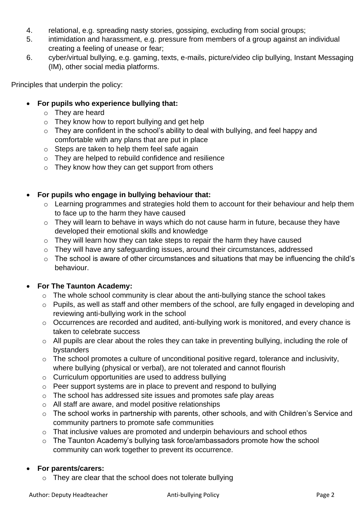- 4. relational, e.g. spreading nasty stories, gossiping, excluding from social groups;
- 5. intimidation and harassment, e.g. pressure from members of a group against an individual creating a feeling of unease or fear;
- 6. cyber/virtual bullying, e.g. gaming, texts, e-mails, picture/video clip bullying, Instant Messaging (IM), other social media platforms.

Principles that underpin the policy:

- **For pupils who experience bullying that:** 
	- o They are heard
	- o They know how to report bullying and get help
	- $\circ$  They are confident in the school's ability to deal with bullying, and feel happy and comfortable with any plans that are put in place
	- o Steps are taken to help them feel safe again
	- o They are helped to rebuild confidence and resilience
	- $\circ$  They know how they can get support from others

## • **For pupils who engage in bullying behaviour that:**

- o Learning programmes and strategies hold them to account for their behaviour and help them to face up to the harm they have caused
- o They will learn to behave in ways which do not cause harm in future, because they have developed their emotional skills and knowledge
- o They will learn how they can take steps to repair the harm they have caused
- o They will have any safeguarding issues, around their circumstances, addressed
- o The school is aware of other circumstances and situations that may be influencing the child's behaviour.

## • **For The Taunton Academy:**

- o The whole school community is clear about the anti-bullying stance the school takes
- o Pupils, as well as staff and other members of the school, are fully engaged in developing and reviewing anti-bullying work in the school
- o Occurrences are recorded and audited, anti-bullying work is monitored, and every chance is taken to celebrate success
- o All pupils are clear about the roles they can take in preventing bullying, including the role of bystanders
- $\circ$  The school promotes a culture of unconditional positive regard, tolerance and inclusivity, where bullying (physical or verbal), are not tolerated and cannot flourish
- o Curriculum opportunities are used to address bullying
- o Peer support systems are in place to prevent and respond to bullying
- o The school has addressed site issues and promotes safe play areas
- o All staff are aware, and model positive relationships
- o The school works in partnership with parents, other schools, and with Children's Service and community partners to promote safe communities
- o That inclusive values are promoted and underpin behaviours and school ethos
- o The Taunton Academy's bullying task force/ambassadors promote how the school community can work together to prevent its occurrence.

## • **For parents/carers:**

 $\circ$  They are clear that the school does not tolerate bullying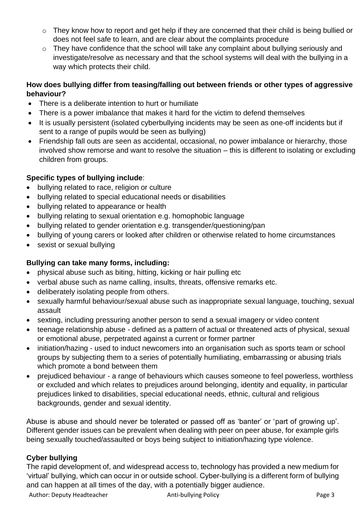- $\circ$  They know how to report and get help if they are concerned that their child is being bullied or does not feel safe to learn, and are clear about the complaints procedure
- o They have confidence that the school will take any complaint about bullying seriously and investigate/resolve as necessary and that the school systems will deal with the bullying in a way which protects their child.

## **How does bullying differ from teasing/falling out between friends or other types of aggressive behaviour?**

- There is a deliberate intention to hurt or humiliate
- There is a power imbalance that makes it hard for the victim to defend themselves
- It is usually persistent (isolated cyberbullying incidents may be seen as one-off incidents but if sent to a range of pupils would be seen as bullying)
- Friendship fall outs are seen as accidental, occasional, no power imbalance or hierarchy, those involved show remorse and want to resolve the situation – this is different to isolating or excluding children from groups.

## **Specific types of bullying include**:

- bullying related to race, religion or culture
- bullying related to special educational needs or disabilities
- bullying related to appearance or health
- bullying relating to sexual orientation e.g. homophobic language
- bullying related to gender orientation e.g. transgender/questioning/pan
- bullying of young carers or looked after children or otherwise related to home circumstances
- sexist or sexual bullying

# **Bullying can take many forms, including:**

- physical abuse such as biting, hitting, kicking or hair pulling etc
- verbal abuse such as name calling, insults, threats, offensive remarks etc.
- deliberately isolating people from others.
- sexually harmful behaviour/sexual abuse such as inappropriate sexual language, touching, sexual assault
- sexting, including pressuring another person to send a sexual imagery or video content
- teenage relationship abuse defined as a pattern of actual or threatened acts of physical, sexual or emotional abuse, perpetrated against a current or former partner
- initiation/hazing used to induct newcomers into an organisation such as sports team or school groups by subjecting them to a series of potentially humiliating, embarrassing or abusing trials which promote a bond between them
- prejudiced behaviour a range of behaviours which causes someone to feel powerless, worthless or excluded and which relates to prejudices around belonging, identity and equality, in particular prejudices linked to disabilities, special educational needs, ethnic, cultural and religious backgrounds, gender and sexual identity.

Abuse is abuse and should never be tolerated or passed off as 'banter' or 'part of growing up'. Different gender issues can be prevalent when dealing with peer on peer abuse, for example girls being sexually touched/assaulted or boys being subject to initiation/hazing type violence.

## **Cyber bullying**

The rapid development of, and widespread access to, technology has provided a new medium for 'virtual' bullying, which can occur in or outside school. Cyber-bullying is a different form of bullying and can happen at all times of the day, with a potentially bigger audience.

Author: Deputy Headteacher **Anti-bullying Policy Page 3** Anti-bullying Policy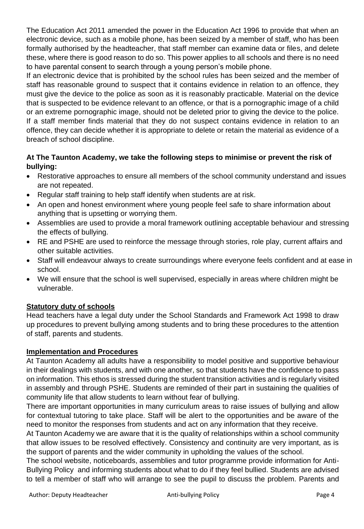The Education Act 2011 amended the power in the Education Act 1996 to provide that when an electronic device, such as a mobile phone, has been seized by a member of staff, who has been formally authorised by the headteacher, that staff member can examine data or files, and delete these, where there is good reason to do so. This power applies to all schools and there is no need to have parental consent to search through a young person's mobile phone.

If an electronic device that is prohibited by the school rules has been seized and the member of staff has reasonable ground to suspect that it contains evidence in relation to an offence, they must give the device to the police as soon as it is reasonably practicable. Material on the device that is suspected to be evidence relevant to an offence, or that is a pornographic image of a child or an extreme pornographic image, should not be deleted prior to giving the device to the police. If a staff member finds material that they do not suspect contains evidence in relation to an offence, they can decide whether it is appropriate to delete or retain the material as evidence of a breach of school discipline.

## **At The Taunton Academy, we take the following steps to minimise or prevent the risk of bullying:**

- Restorative approaches to ensure all members of the school community understand and issues are not repeated.
- Regular staff training to help staff identify when students are at risk.
- An open and honest environment where young people feel safe to share information about anything that is upsetting or worrying them.
- Assemblies are used to provide a moral framework outlining acceptable behaviour and stressing the effects of bullying.
- RE and PSHE are used to reinforce the message through stories, role play, current affairs and other suitable activities.
- Staff will endeavour always to create surroundings where everyone feels confident and at ease in school.
- We will ensure that the school is well supervised, especially in areas where children might be vulnerable.

## **Statutory duty of schools**

Head teachers have a legal duty under the School Standards and Framework Act 1998 to draw up procedures to prevent bullying among students and to bring these procedures to the attention of staff, parents and students.

## **Implementation and Procedures**

At Taunton Academy all adults have a responsibility to model positive and supportive behaviour in their dealings with students, and with one another, so that students have the confidence to pass on information. This ethos is stressed during the student transition activities and is regularly visited in assembly and through PSHE. Students are reminded of their part in sustaining the qualities of community life that allow students to learn without fear of bullying.

There are important opportunities in many curriculum areas to raise issues of bullying and allow for contextual tutoring to take place. Staff will be alert to the opportunities and be aware of the need to monitor the responses from students and act on any information that they receive.

At Taunton Academy we are aware that it is the quality of relationships within a school community that allow issues to be resolved effectively. Consistency and continuity are very important, as is the support of parents and the wider community in upholding the values of the school.

The school website, noticeboards, assemblies and tutor programme provide information for Anti-Bullying Policy and informing students about what to do if they feel bullied. Students are advised to tell a member of staff who will arrange to see the pupil to discuss the problem. Parents and